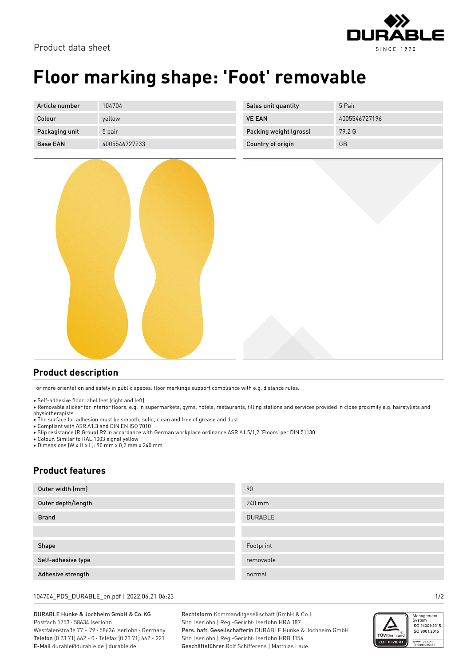



## **Floor marking shape: 'Foot' removable**

| Article number  | 104704        | Sales unit quantity    | 5 Pair        |
|-----------------|---------------|------------------------|---------------|
| Colour          | yellow        | <b>VE EAN</b>          | 4005546727196 |
| Packaging unit  | 5 pair        | Packing weight (gross) | 79.2 G        |
| <b>Base EAN</b> | 4005546727233 | Country of origin      | GB            |



## **Product description**

For more orientation and safety in public spaces: floor markings support compliance with e.g. distance rules.

• Self-adhesive floor label feet (right and left)

• Removable sticker for interior floors, e.g. in supermarkets, gyms, hotels, restaurants, filling stations and services provided in close proximity e.g. hairstylists and physiotherapists

• The surface for adhesion must be smooth, solid, clean and free of grease and dust

• Compliant with ASR A1.3 and DIN EN ISO 7010

• Slip resistance (R Group) R9 in accordance with German workplace ordinance ASR A1.5/1,2 'Floors' per DIN 51130

• Colour: Similar to RAL 1003 signal yellow

• Dimensions (W x H x L): 90 mm x 0,2 mm x 240 mm

## **Product features**

| Outer width (mm)   | 90             |
|--------------------|----------------|
| Outer depth/length | 240 mm         |
| <b>Brand</b>       | <b>DURABLE</b> |
|                    |                |
| Shape              | Footprint      |
| Self-adhesive type | removable      |
| Adhesive strength  | normal         |

104704\_PDS\_DURABLE\_en.pdf | 2022.06.21 06:23 1/2

DURABLE Hunke & Jochheim GmbH & Co.KG Postfach 1753 · 58634 Iserlohn Westfalenstraße 77 – 79 · 58636 Iserlohn · Germany Telefon (0 23 71) 662 - 0 · Telefax (0 23 71) 662 - 221 E-Mail durable@durable.de | durable.de

Rechtsform Kommanditgesellschaft (GmbH & Co.) Sitz: Iserlohn | Reg.-Gericht: Iserlohn HRA 187 Pers. haft. Gesellschafterin DURABLE Hunke & Jochheim GmbH Sitz: Iserlohn | Reg.-Gericht: Iserlohn HRB 1156 Geschäftsführer Rolf Schifferens | Matthias Laue